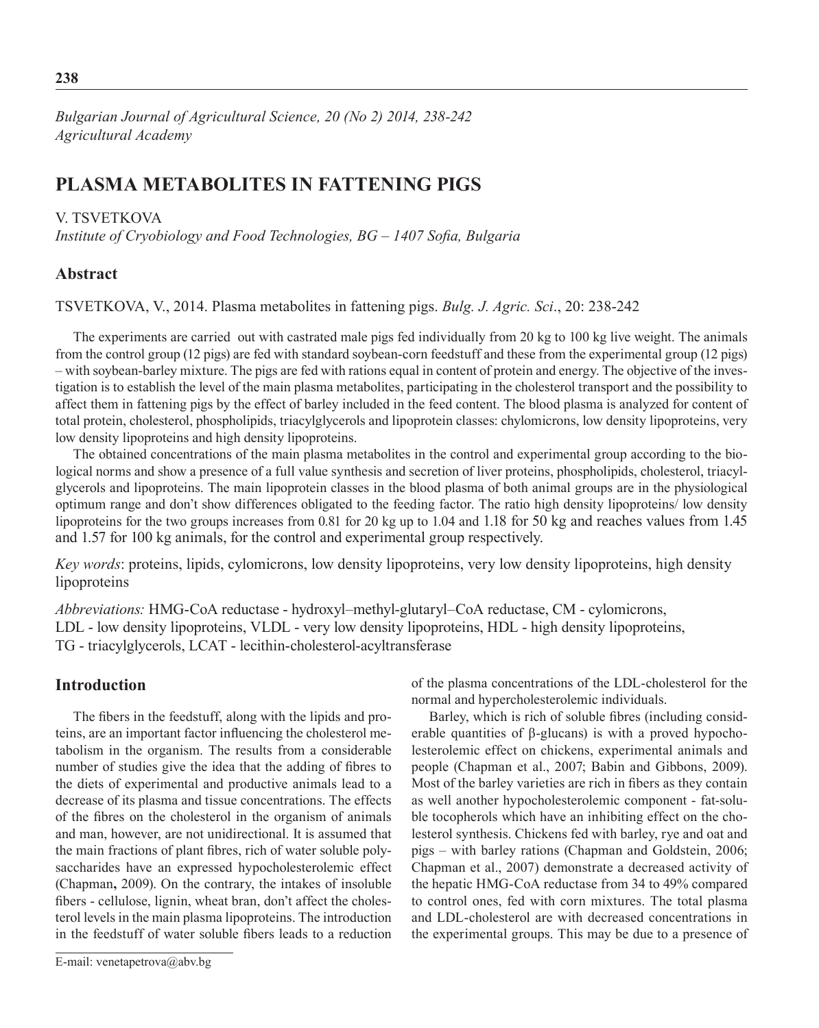*Bulgarian Journal of Agricultural Science, 20 (No 2) 2014, 238-242 Agricultural Academy*

# **Plasma metabolites in fattening pigs**

# V. TSVETKOVA

*Institute of Cryobiology and Food Technologies, BG – 1407 Sofia, Bulgaria*

# **Abstract**

Tsvetkova, V., 2014. Plasma metabolites in fattening pigs. *Bulg. J. Agric. Sci*., 20: 238-242

The experiments are carried out with castrated male pigs fed individually from 20 kg to 100 kg live weight. The animals from the control group (12 pigs) are fed with standard soybean-corn feedstuff and these from the experimental group (12 pigs) – with soybean-barley mixture. The pigs are fed with rations equal in content of protein and energy. The objective of the investigation is to establish the level of the main plasma metabolites, participating in the cholesterol transport and the possibility to affect them in fattening pigs by the effect of barley included in the feed content. The blood plasma is analyzed for content of total protein, cholesterol, phospholipids, triacylglycerols and lipoprotein classes: chylomicrons, low density lipoproteins, very low density lipoproteins and high density lipoproteins.

The obtained concentrations of the main plasma metabolites in the control and experimental group according to the biological norms and show a presence of a full value synthesis and secretion of liver proteins, phospholipids, cholesterol, triacylglycerols and lipoproteins. The main lipoprotein classes in the blood plasma of both animal groups are in the physiological optimum range and don't show differences obligated to the feeding factor. The ratio high density lipoproteins/ low density lipoproteins for the two groups increases from 0.81 for 20 kg up to 1.04 and 1.18 for 50 kg and reaches values from 1.45 and 1.57 for 100 kg animals, for the control and experimental group respectively.

*Key words*: proteins, lipids, cylomicrons, low density lipoproteins, very low density lipoproteins, high density lipoproteins

*Abbreviations:* HMG-CoA reductase - hydroxyl–methyl-glutaryl–СоA reductase, CM - cylomicrons, LDL - low density lipoproteins, VLDL - very low density lipoproteins, HDL - high density lipoproteins, TG - triacylglycerols, LCAT - lecithin-cholesterol-acyltransferase

# **Introduction**

The fibers in the feedstuff, along with the lipids and proteins, are an important factor influencing the cholesterol metabolism in the organism. The results from a considerable number of studies give the idea that the adding of fibres to the diets of experimental and productive animals lead to a decrease of its plasma and tissue concentrations. The effects of the fibres on the cholesterol in the organism of animals and man, however, are not unidirectional. It is assumed that the main fractions of plant fibrеs, rich of water soluble polysaccharides have an expressed hypocholesterolemic effect (Chapman**,** 2009). On the contrary, the intakes of insoluble fibers - cellulose, lignin, wheat bran, don't affect the cholesterol levels in the main plasma lipoproteins. The introduction in the feedstuff of water soluble fibers leads to a reduction of the plasma concentrations of the LDL-cholesterol for the normal and hypercholesterolemic individuals.

Barley, which is rich of soluble fibrеs (including considerable quantities of β-glucans) is with a proved hypocholesterolemic effect on chickens, experimental animals and people (Chapman et al., 2007; Babin and Gibbons, 2009). Most of the barley varieties are rich in fibers as they contain as well another hypocholesterolemic component - fat-soluble tocopherols which have an inhibiting effect on the cholesterol synthesis. Chickens fed with barley, rye and oat and pigs – with barley rations (Chapman and Goldstein, 2006; Chapman et al., 2007) demonstrate a decreased activity of the hepatic HMG-CoA reductase from 34 to 49% compared to control ones, fed with corn mixtures. The total plasma and LDL-cholesterol are with decreased concentrations in the experimental groups. This may be due to a presence of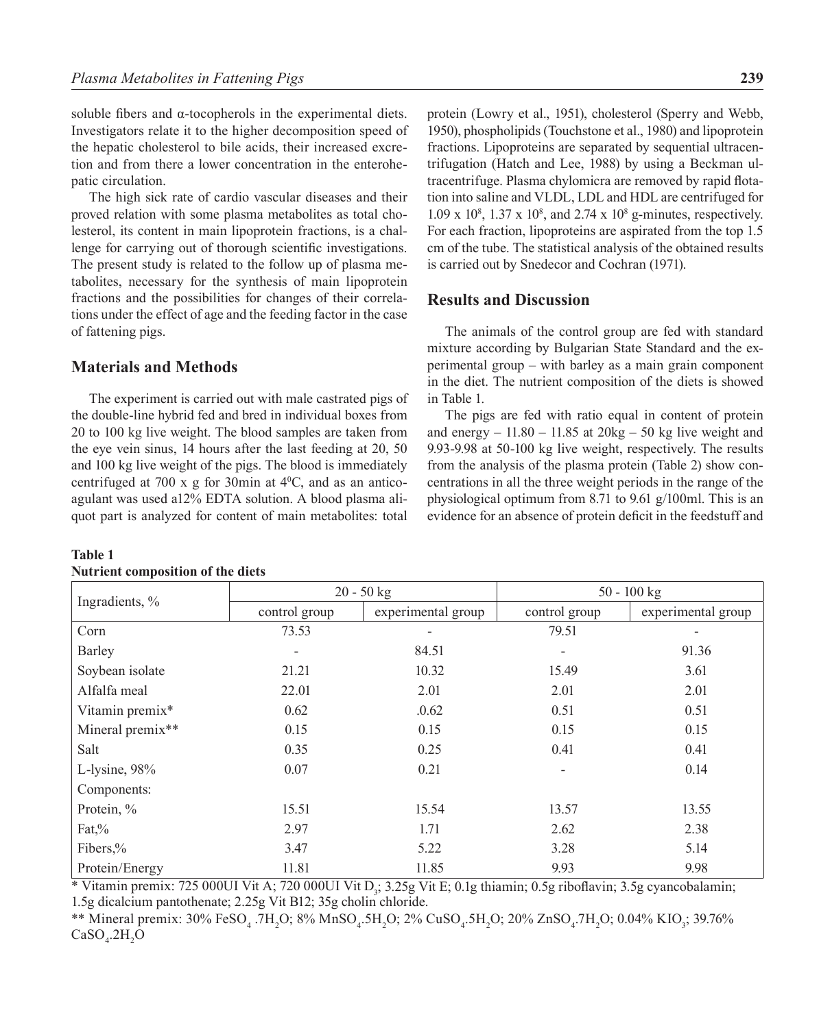soluble fibers and α-tocopherols in the experimental diets. Investigators relate it to the higher decomposition speed of the hepatic cholesterol to bile acids, their increased excretion and from there a lower concentration in the enterohepatic circulation.

The high sick rate of cardio vascular diseases and their proved relation with some plasma metabolites as total cholesterol, its content in main lipoprotein fractions, is a challenge for carrying out of thorough scientific investigations. The present study is related to the follow up of plasma metabolites, necessary for the synthesis of main lipoprotein fractions and the possibilities for changes of their correlations under the effect of age and the feeding factor in the case of fattening pigs.

## **Materials and Methods**

The experiment is carried out with male castrated pigs of the double-line hybrid fed and bred in individual boxes from 20 to 100 kg live weight. The blood samples are taken from the eye vein sinus, 14 hours after the last feeding at 20, 50 and 100 kg live weight of the pigs. The blood is immediately centrifuged at 700 x g for 30min at  $4^{\circ}$ C, and as an anticoagulant was used a12% EDTA solution. A blood plasma aliquot part is analyzed for content of main metabolites: total

| Ingradients, %    | $20 - 50$ kg             |                    | $50 - 100$ kg            |                    |  |
|-------------------|--------------------------|--------------------|--------------------------|--------------------|--|
|                   | control group            | experimental group | control group            | experimental group |  |
| Corn              | 73.53                    |                    | 79.51                    |                    |  |
| Barley            | $\overline{\phantom{a}}$ | 84.51              | $\overline{\phantom{a}}$ | 91.36              |  |
| Soybean isolate   | 21.21                    | 10.32              | 15.49                    | 3.61               |  |
| Alfalfa meal      | 22.01                    | 2.01               | 2.01                     | 2.01               |  |
| Vitamin premix*   | 0.62                     | .0.62              | 0.51                     | 0.51               |  |
| Mineral premix**  | 0.15                     | 0.15               | 0.15                     | 0.15               |  |
| Salt              | 0.35                     | 0.25               | 0.41                     | 0.41               |  |
| L-lysine, 98%     | 0.07                     | 0.21               |                          | 0.14               |  |
| Components:       |                          |                    |                          |                    |  |
| Protein, %        | 15.51                    | 15.54              | 13.57                    | 13.55              |  |
| $\text{Fat}\, \%$ | 2.97                     | 1.71               | 2.62                     | 2.38               |  |
| Fibers,%          | 3.47                     | 5.22               | 3.28                     | 5.14               |  |
| Protein/Energy    | 11.81                    | 11.85              | 9.93                     | 9.98               |  |

#### **Table 1 Nutrient composition of the diets**

protein (Lowry et al., 1951), cholesterol (Sperry and Webb, 1950), phospholipids (Touchstone et al., 1980) and lipoprotein fractions. Lipoproteins are separated by sequential ultracentrifugation (Hatch and Lee, 1988) by using a Beckman ultracentrifuge. Plasma chylomicra are removed by rapid flotation into saline and VLDL, LDL and HDL are centrifuged for 1.09 x 10<sup>8</sup>, 1.37 x 10<sup>8</sup>, and 2.74 x 10<sup>8</sup> g-minutes, respectively. For each fraction, lipoproteins are aspirated from the top 1.5 cm of the tube. The statistical analysis of the obtained results is carried out by Snedecor and Cochran (1971).

## **Results and Discussion**

The animals of the control group are fed with standard mixture according by Bulgarian State Standard and the experimental group – with barley as a main grain component in the diet. The nutrient composition of the diets is showed in Table 1.

The pigs are fed with ratio equal in content of protein and energy  $-11.80 - 11.85$  at  $20\text{kg} - 50$  kg live weight and 9.93-9.98 at 50-100 kg live weight, respectively. The results from the analysis of the plasma protein (Table 2) show concentrations in all the three weight periods in the range of the physiological optimum from 8.71 to 9.61 g/100ml. This is an evidence for an absence of protein deficit in the feedstuff and

\* Vitamin premix: 725 000UI Vit A; 720 000UI Vit D<sub>3</sub>; 3.25g Vit E; 0.1g thiamin; 0.5g riboflavin; 3.5g cyancobalamin; 1.5g dicalcium pantothenate; 2.25g Vit B12; 35g cholin chloride.

\*\* Mineral premix: 30% FeSO<sub>4</sub> .7H<sub>2</sub>O; 8% MnSO<sub>4</sub>.5H<sub>2</sub>O; 2% CuSO<sub>4</sub>.5H<sub>2</sub>O; 20% ZnSO<sub>4</sub>.7H<sub>2</sub>O; 0.04% KIO<sub>3</sub>; 39.76%  $CaSO_{4}$ .2H<sub>2</sub>O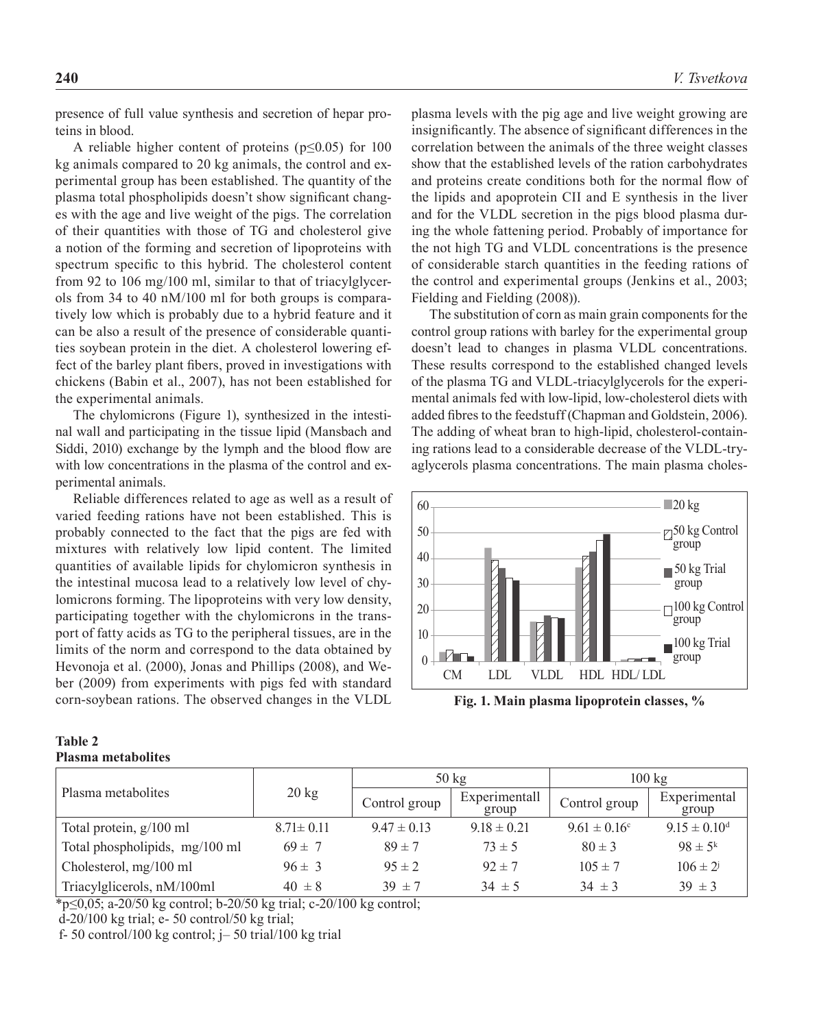presence of full value synthesis and secretion of hepar proteins in blood.

A reliable higher content of proteins (p≤0.05) for 100 kg animals compared to 20 kg animals, the control and experimental group has been established. The quantity of the plasma total phospholipids doesn't show significant changes with the age and live weight of the pigs. The correlation of their quantities with those of TG and cholesterol give a notion of the forming and secretion of lipoproteins with spectrum specific to this hybrid. The cholesterol content from 92 to 106 mg/100 ml, similar to that of triacylglycerols from 34 to 40 nM/100 ml for both groups is comparatively low which is probably due to a hybrid feature and it can be also a result of the presence of considerable quantities soybean protein in the diet. A cholesterol lowering effect of the barley plant fibers, proved in investigation chickens (Babin et al., 2007), has not been establ the experimental animals.

The chylomicrons (Figure 1), synthesized in the intestinal wall and participating in the tissue lipid (Mansbach and Siddi, 2010) exchange by the lymph and the blood flow are with low concentrations in the plasma of the control and experimental animals.

Reliable differences related to age as well as a result of varied feeding rations have not been established. This is probably connected to the fact that the pigs are fed with mixtures with relatively low lipid content. The limited quantities of available lipids for chylomicron synthesis in the intestinal mucosa lead to a relatively low level of chylomicrons forming. The lipoproteins with very low density, participating together with the chylomicrons in the transport of fatty acids as TG to the peripheral tissues, are in the limits of the norm and correspond to the data obtained by Hevonoja et al. (2000), Jonas and Phillips (2008), and Weber (2009) from experiments with pigs fed with standard corn-soybean rations. The observed changes in the VLDL

#### **Table 2 Plasma metabolites**

plasma levels with the pig age and live weight growing are insignificantly. The absence of significant differences in the correlation between the animals of the three weight classes show that the established levels of the ration carbohydrates and proteins create conditions both for the normal flow of the lipids and apoprotein CII and E synthesis in the liver and for the VLDL secretion in the pigs blood plasma during the whole fattening period. Probably of importance for the not high TG and VLDL concentrations is the presence of considerable starch quantities in the feeding rations of the control and experimental groups (Jenkins et al., 2003; Fielding and Fielding (2008)).

The substitution of corn as main grain components for the control group rations with barley for the experimental group doesn't lead to changes in plasma VLDL concentrations. These results correspond to the established changed levels added fibres to the feedstuff (Chapman and Goldstein, 2006). The adding of wheat bran to high-lipid, cholesterol-containing rations lead to a considerable decrease of the VLDL-tryaglycerols plasma concentrations. The main plasma choles-



**Fig. 1. Main plasma lipoprotein classes, %**

| ions with | These results correspond to the established changed levels    |
|-----------|---------------------------------------------------------------|
| ished for | of the plasma TG and VLDL-triacylglycerols for the experi-    |
|           | mental animals fed with low-lipid, low-cholesterol diets with |

|                                | $20 \text{ kg}$ | $50 \text{ kg}$ |                        | $100 \text{ kg}$  |                       |
|--------------------------------|-----------------|-----------------|------------------------|-------------------|-----------------------|
| Plasma metabolites             |                 | Control group   | Experimentall<br>group | Control group     | Experimental<br>group |
| Total protein, g/100 ml        | $8.71 \pm 0.11$ | $9.47 \pm 0.13$ | $9.18 \pm 0.21$        | $9.61 \pm 0.16$ ° | $9.15 \pm 0.10^d$     |
| Total phospholipids, mg/100 ml | $69 \pm 7$      | $89 \pm 7$      | $73 \pm 5$             | $80 \pm 3$        | $98 \pm 5^k$          |
| Cholesterol, mg/100 ml         | $96 \pm 3$      | $95 \pm 2$      | $92 \pm 7$             | $105 \pm 7$       | $106 \pm 2^{j}$       |
| Triacylglicerols, nM/100ml     | $40 \pm 8$      | $39 \pm 7$      | $34 \pm 5$             | $34 \pm 3$        | $39 \pm 3$            |

\*p≤0,05; а-20/50 kg control; b-20/50 kg trial; c-20/100 kg control;

d-20/100 kg trial; e- 50 control/50 kg trial;

f- 50 control/100 kg control;  $j-$  50 trial/100 kg trial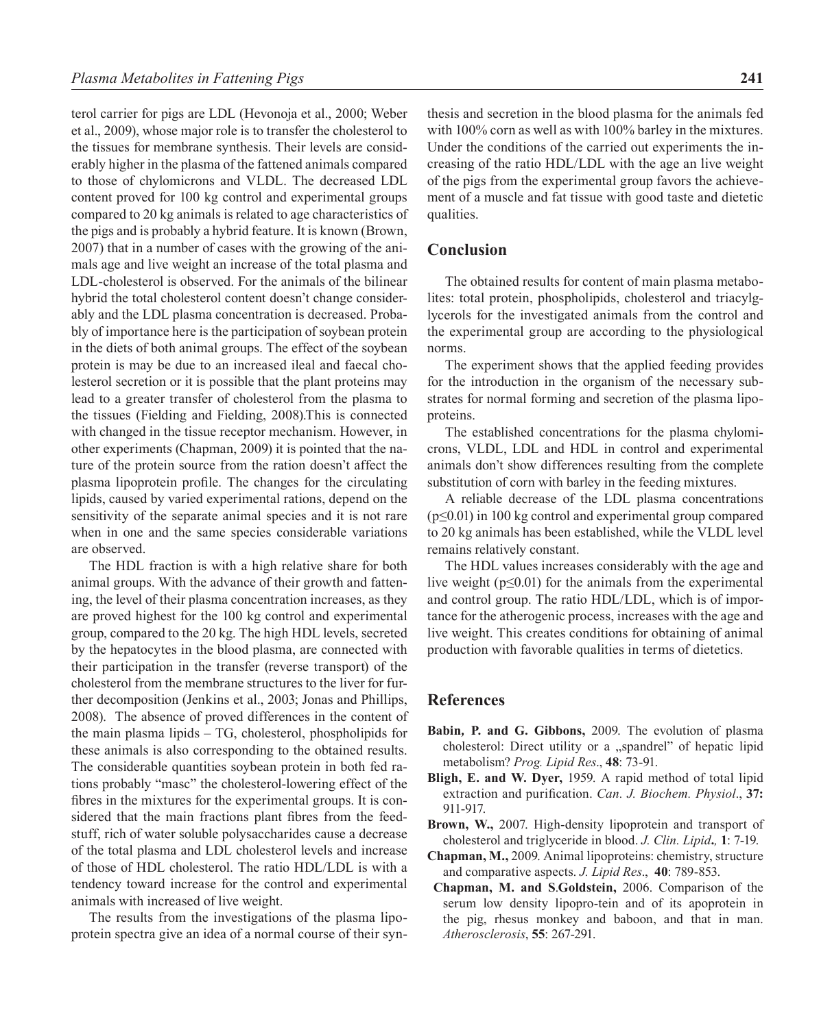terol carrier for pigs are LDL (Hevonoja et al., 2000; Weber et al., 2009), whose major role is to transfer the cholesterol to the tissues for membrane synthesis. Their levels are considerably higher in the plasma of the fattened animals compared to those of chylomicrons and VLDL. The decreased LDL content proved for 100 kg control and experimental groups compared to 20 kg animals is related to age characteristics of the pigs and is probably a hybrid feature. It is known (Brown, 2007) that in a number of cases with the growing of the animals age and live weight an increase of the total plasma and LDL-cholesterol is observed. For the animals of the bilinear hybrid the total cholesterol content doesn't change considerably and the LDL plasma concentration is decreased. Probably of importance here is the participation of soybean protein in the diets of both animal groups. The effect of the soybean protein is may be due to an increased ileal and faecal cholesterol secretion or it is possible that the plant proteins may lead to a greater transfer of cholesterol from the plasma to the tissues (Fielding and Fielding, 2008).This is connected with changed in the tissue receptor mechanism. However, in other experiments (Chapman, 2009) it is pointed that the nature of the protein source from the ration doesn't affect the plasma lipoprotein profile. The changes for the circulating lipids, caused by varied experimental rations, depend on the sensitivity of the separate animal species and it is not rare when in one and the same species considerable variations are observed.

The HDL fraction is with a high relative share for both animal groups. With the advance of their growth and fattening, the level of their plasma concentration increases, as they are proved highest for the 100 kg control and experimental group, compared to the 20 kg. The high HDL levels, secreted by the hepatocytes in the blood plasma, are connected with their participation in the transfer (reverse transport) of the cholesterol from the membrane structures to the liver for further decomposition (Jenkins et al., 2003; Jonas and Phillips, 2008). The absence of proved differences in the content of the main plasma lipids – TG, cholesterol, phospholipids for these animals is also corresponding to the obtained results. The considerable quantities soybean protein in both fed rations probably "masc" the cholesterol-lowering effect of the fibres in the mixtures for the experimental groups. It is considered that the main fractions plant fibres from the feedstuff, rich of water soluble polysaccharides cause a decrease of the total plasma and LDL cholesterol levels and increase of those of HDL cholesterol. The ratio HDL/LDL is with a tendency toward increase for the control and experimental animals with increased of live weight.

The results from the investigations of the plasma lipoprotein spectra give an idea of a normal course of their syn-

thesis and secretion in the blood plasma for the animals fed with 100% corn as well as with 100% barley in the mixtures. Under the conditions of the carried out experiments the increasing of the ratio HDL/LDL with the age an live weight of the pigs from the experimental group favors the achievement of a muscle and fat tissue with good taste and dietetic qualities.

#### **Conclusion**

The obtained results for content of main plasma metabolites: total protein, phospholipids, cholesterol and triacylglycerols for the investigated animals from the control and the experimental group are according to the physiological norms.

The experiment shows that the applied feeding provides for the introduction in the organism of the necessary substrates for normal forming and secretion of the plasma lipoproteins.

The established concentrations for the plasma chylomicrons, VLDL, LDL and HDL in control and experimental animals don't show differences resulting from the complete substitution of corn with barley in the feeding mixtures.

A reliable decrease of the LDL plasma concentrations (p≤0.01) in 100 kg control and experimental group compared to 20 kg animals has been established, while the VLDL level remains relatively constant.

The HDL values increases considerably with the age and live weight ( $p \le 0.01$ ) for the animals from the experimental and control group. The ratio HDL/LDL, which is of importance for the atherogenic process, increases with the age and live weight. This creates conditions for obtaining of animal production with favorable qualities in terms of dietetics.

## **References**

- **Babin***,* **P. and G. Gibbons,** 2009. The evolution of plasma cholesterol: Direct utility or a "spandrel" of hepatic lipid metabolism? *Prog. Lipid Res*., **48**: 73-91.
- **Bligh, E. and W. Dyer,** 1959. A rapid method of total lipid extraction and purification. *Can. J. Biochem. Physiol*., **37:** 911-917.
- **Brown, W.,** 2007. High-density lipoprotein and transport of cholesterol and triglyceride in blood. *J. Clin. Lipid***.***,* **1**: 7-19.
- **Chapman, M.,** 2009. Animal lipoproteins: chemistry, structure and comparative aspects. *J. Lipid Res*., **40**: 789-853.
- **Chapman, M. and S**.**Goldstein,** 2006. Comparison of the serum low density lipopro-tein and of its apoprotein in the pig, rhesus monkey and baboon, and that in man. *Atherosclerosis*, **55**: 267-291.